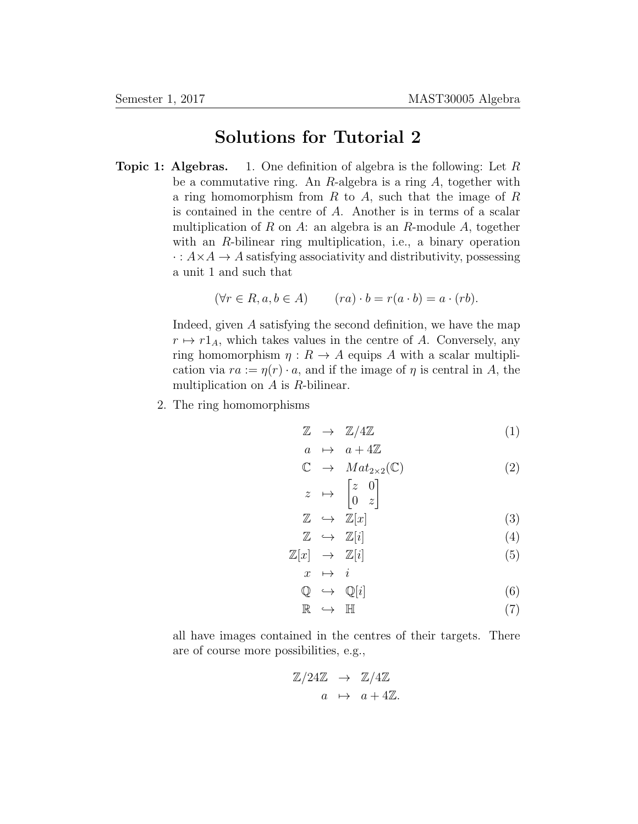## Solutions for Tutorial 2

**Topic 1: Algebras.** 1. One definition of algebra is the following: Let  $R$ be a commutative ring. An R-algebra is a ring A, together with a ring homomorphism from  $R$  to  $A$ , such that the image of  $R$ is contained in the centre of A. Another is in terms of a scalar multiplication of R on A: an algebra is an R-module A, together with an R-bilinear ring multiplication, i.e., a binary operation  $\cdot : A \times A \rightarrow A$  satisfying associativity and distributivity, possessing a unit 1 and such that

$$
(\forall r \in R, a, b \in A) \qquad (ra) \cdot b = r(a \cdot b) = a \cdot (rb).
$$

Indeed, given A satisfying the second definition, we have the map  $r \mapsto r1_A$ , which takes values in the centre of A. Conversely, any ring homomorphism  $\eta: R \to A$  equips A with a scalar multiplication via  $ra := \eta(r) \cdot a$ , and if the image of  $\eta$  is central in A, the multiplication on  $A$  is  $R$ -bilinear.

2. The ring homomorphisms

$$
\mathbb{Z} \rightarrow \mathbb{Z}/4\mathbb{Z} \tag{1}
$$

$$
\begin{array}{rcl}\n a & \mapsto & a + 4\mathbb{Z} \\
\mathbb{C} & \mapsto & Mat_{2 \times 2}(\mathbb{C})\n \end{array}\n \tag{2}
$$

$$
z \mapsto \begin{bmatrix} z & 0 \\ 0 & z \end{bmatrix}
$$

$$
\mathbb{Z} \quad \hookrightarrow \quad \mathbb{Z}[x] \tag{3}
$$

$$
\mathbb{Z} \quad \hookrightarrow \quad \mathbb{Z}[i] \tag{4}
$$

$$
\mathbb{Z}[x] \rightarrow \mathbb{Z}[i] \n x \mapsto i
$$
\n(5)

$$
\mathbb{Q} \hookrightarrow \mathbb{Q}[i] \tag{6}
$$

$$
\mathbb{R} \hookrightarrow \mathbb{H} \tag{7}
$$

all have images contained in the centres of their targets. There are of course more possibilities, e.g.,

$$
\mathbb{Z}/24\mathbb{Z} \rightarrow \mathbb{Z}/4\mathbb{Z}
$$

$$
a \mapsto a + 4\mathbb{Z}.
$$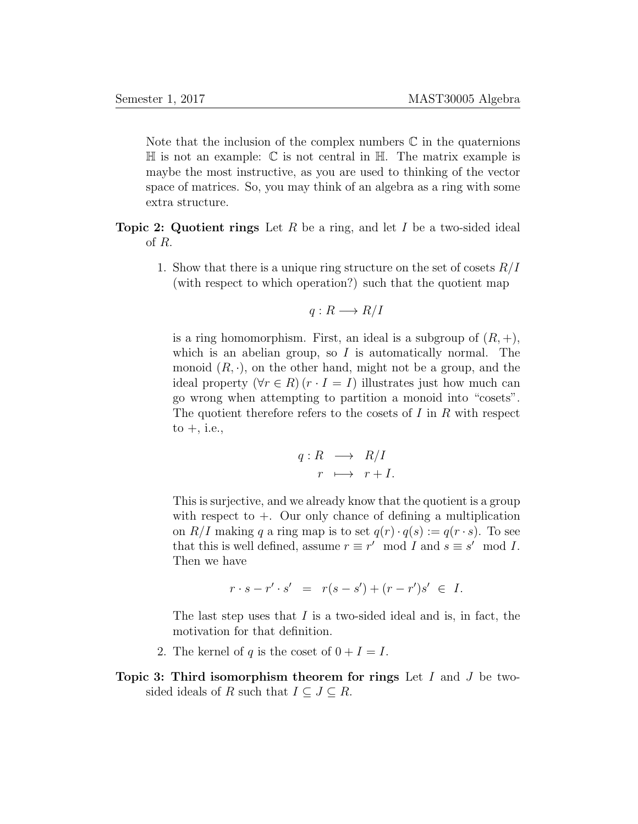Note that the inclusion of the complex numbers  $\mathbb C$  in the quaternions  $\mathbb H$  is not an example:  $\mathbb C$  is not central in  $\mathbb H$ . The matrix example is maybe the most instructive, as you are used to thinking of the vector space of matrices. So, you may think of an algebra as a ring with some extra structure.

**Topic 2: Quotient rings** Let R be a ring, and let I be a two-sided ideal of R.

> 1. Show that there is a unique ring structure on the set of cosets  $R/I$ (with respect to which operation?) such that the quotient map

$$
q: R \longrightarrow R/I
$$

is a ring homomorphism. First, an ideal is a subgroup of  $(R, +)$ , which is an abelian group, so  $I$  is automatically normal. The monoid  $(R, \cdot)$ , on the other hand, might not be a group, and the ideal property  $(\forall r \in R)$   $(r \cdot I = I)$  illustrates just how much can go wrong when attempting to partition a monoid into "cosets". The quotient therefore refers to the cosets of  $I$  in  $R$  with respect  $to +$ , i.e.,

$$
q: R \longrightarrow R/I
$$

$$
r \longmapsto r+I.
$$

This is surjective, and we already know that the quotient is a group with respect to  $+$ . Our only chance of defining a multiplication on  $R/I$  making q a ring map is to set  $q(r) \cdot q(s) := q(r \cdot s)$ . To see that this is well defined, assume  $r \equiv r' \mod I$  and  $s \equiv s' \mod I$ . Then we have

$$
r \cdot s - r' \cdot s' = r(s - s') + (r - r')s' \in I.
$$

The last step uses that  $I$  is a two-sided ideal and is, in fact, the motivation for that definition.

- 2. The kernel of q is the coset of  $0 + I = I$ .
- Topic 3: Third isomorphism theorem for rings Let  $I$  and  $J$  be twosided ideals of R such that  $I \subseteq J \subseteq R$ .